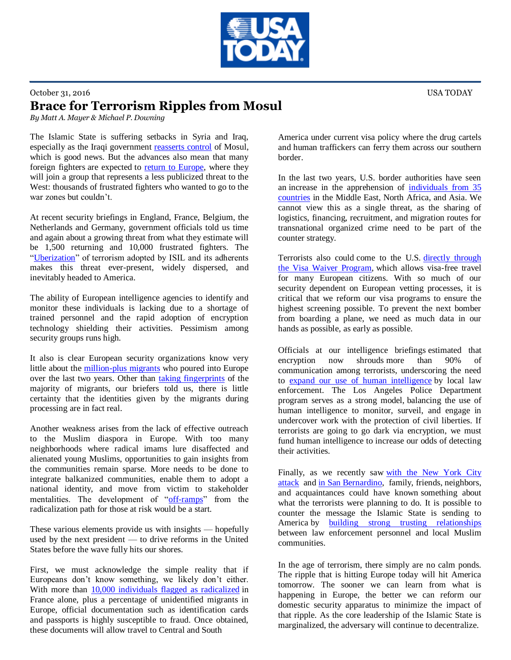

October 31, 2016 USA TODAY Brace for Terrorism Ripples from Mosul

*By Matt A. Mayer & Michael P. Downing*

The Islamic State is suffering setbacks in Syria and Iraq, especially as the Iraqi government [reasserts control](https://www.usatoday.com/story/news/world/2016/10/30/battle-mosul-intensifies-shiite-militias-join-fray/93017632/) of Mosul, which is good news. But the advances also mean that many foreign fighters are expected to [return to Europe,](https://www.washingtonpost.com/world/europe/eu-authorities-brace-for-wave-ofislamic-statefightersafter-mosul-assault/2016/10/23/175c5ac8-960e-11e6-9cae-2a3574e296a6_story.html) where they will join a group that represents a less publicized threat to the West: thousands of frustrated fighters who wanted to go to the war zones but couldn't.

At recent security briefings in England, France, Belgium, the Netherlands and Germany, government officials told us time and again about a growing threat from what they estimate will be 1,500 returning and 10,000 frustrated fighters. The ["Uberization"](http://time.com/4410621/nice-attack-bernard-henri-levy/?xid=tcoshare) of terrorism adopted by ISIL and its adherents makes this threat ever-present, widely dispersed, and inevitably headed to America.

The ability of European intelligence agencies to identify and monitor these individuals is lacking due to a shortage of trained personnel and the rapid adoption of encryption technology shielding their activities. Pessimism among security groups runs high.

It also is clear European security organizations know very little about the [million-plus migrants](http://www.bbc.com/news/world-europe-34131911) who poured into Europe over the last two years. Other than [taking fingerprints](http://www.statewatch.org/news/2015/nov/epthinktank-eu-Fingerprinting-refugees-eurodac-regulation.pdf) of the majority of migrants, our briefers told us, there is little certainty that the identities given by the migrants during processing are in fact real.

Another weakness arises from the lack of effective outreach to the Muslim diaspora in Europe. With too many neighborhoods where radical imams lure disaffected and alienated young Muslims, opportunities to gain insights from the communities remain sparse. More needs to be done to integrate balkanized communities, enable them to adopt a national identity, and move from victim to stakeholder mentalities. The development of ["off-ramps"](http://www.organizingagainstve.org/wp-content/uploads/2016/06/Meeting-Summary.pdf) from the radicalization path for those at risk would be a start.

These various elements provide us with insights — hopefully used by the next president — to drive reforms in the United States before the wave fully hits our shores.

First, we must acknowledge the simple reality that if Europeans don't know something, we likely don't either. With more than [10,000 individuals flagged as radicalized](http://www.cnn.com/2016/09/11/world/france-terror-threat/) in France alone, plus a percentage of unidentified migrants in Europe, official documentation such as identification cards and passports is highly susceptible to fraud. Once obtained, these documents will allow travel to Central and South

America under current visa policy where the drug cartels and human traffickers can ferry them across our southern border.

In the last two years, U.S. border authorities have seen an increase in the apprehension of [individuals from 35](https://www.aei.org/wp-content/uploads/2016/10/Reforming-Americas-Immigration-System-Once-and-for-All.pdf)  [countries](https://www.aei.org/wp-content/uploads/2016/10/Reforming-Americas-Immigration-System-Once-and-for-All.pdf) in the Middle East, North Africa, and Asia. We cannot view this as a single threat, as the sharing of logistics, financing, recruitment, and migration routes for transnational organized crime need to be part of the counter strategy.

Terrorists also could come to the U.S. [directly through](http://www.wsj.com/articles/its-too-easy-for-terrorists-1449705080)  [the Visa Waiver Program,](http://www.wsj.com/articles/its-too-easy-for-terrorists-1449705080) which allows visa-free travel for many European citizens. With so much of our security dependent on European vetting processes, it is critical that we reform our visa programs to ensure the highest screening possible. To prevent the next bomber from boarding a plane, we need as much data in our hands as possible, as early as possible.

Officials at our intelligence briefings estimated that encryption now shrouds more than 90% of communication among terrorists, underscoring the need to [expand our use of human intelligence](https://www.aei.org/wp-content/uploads/2016/06/Human-Intelligence.pdf) by local law enforcement. The Los Angeles Police Department program serves as a strong model, balancing the use of human intelligence to monitor, surveil, and engage in undercover work with the protection of civil liberties. If terrorists are going to go dark via encryption, we must fund human intelligence to increase our odds of detecting their activities.

Finally, as we recently saw [with the New York City](http://www.wsj.com/articles/chelsea-bombing-witnesses-wanted-by-authorities-1474478760)  [attack](http://www.wsj.com/articles/chelsea-bombing-witnesses-wanted-by-authorities-1474478760) and [in San Bernardino,](http://www.nytimes.com/2015/12/12/us/enrique-marquez-san-bernardino-attacks.html) family, friends, neighbors, and acquaintances could have known something about what the terrorists were planning to do. It is possible to counter the message the Islamic State is sending to America by [building strong trusting relationships](https://www.aei.org/wp-content/uploads/2016/08/Create-Regional-Outreach-Groups.pdf) between law enforcement personnel and local Muslim communities.

In the age of terrorism, there simply are no calm ponds. The ripple that is hitting Europe today will hit America tomorrow. The sooner we can learn from what is happening in Europe, the better we can reform our domestic security apparatus to minimize the impact of that ripple. As the core leadership of the Islamic State is marginalized, the adversary will continue to decentralize.

 $\overline{a}$